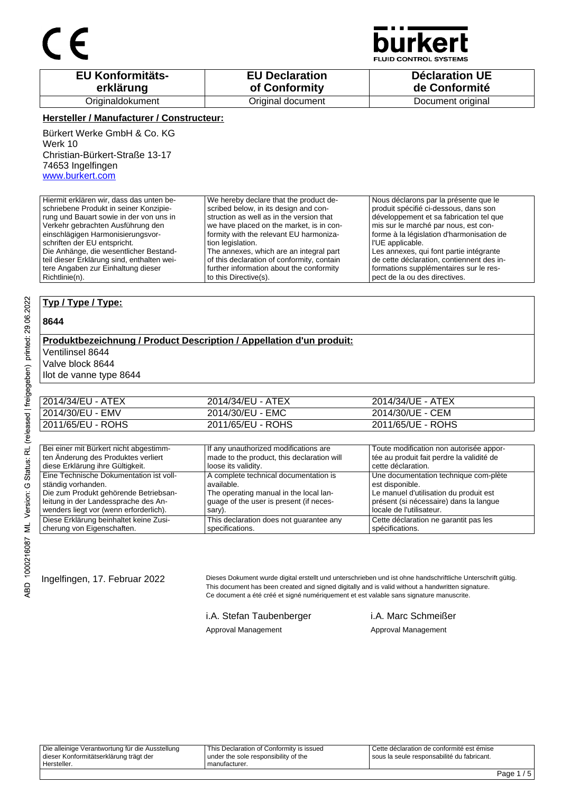

**JID CONTROL SYSTEMS** 

| <b>EU Konformitäts-</b> | <b>EU Declaration</b> | <b>Déclaration UE</b> |
|-------------------------|-----------------------|-----------------------|
| erklärung               | of Conformity         | de Conformité         |
| Originaldokument        | Original document     | Document original     |

### **Hersteller / Manufacturer / Constructeur:**

Bürkert Werke GmbH & Co. KG Werk 10 Christian-Bürkert-Straße 13-17 74653 Ingelfingen www.burkert.com

Hiermit erklären wir, dass das unten beschriebene Produkt in seiner Konzipierung und Bauart sowie in der von uns in Verkehr gebrachten Ausführung den einschlägigen Harmonisierungsvorschriften der EU entspricht. Die Anhänge, die wesentlicher Bestandteil dieser Erklärung sind, enthalten weitere Angaben zur Einhaltung dieser Richtlinie(n). We hereby declare that the product described below, in its design and construction as well as in the version that we have placed on the market, is in conformity with the relevant EU harmonization legislation. The annexes, which are an integral part of this declaration of conformity, contain further information about the conformity to this Directive(s). Nous déclarons par la présente que le produit spécifié ci-dessous, dans son développement et sa fabrication tel que mis sur le marché par nous, est conforme à la législation d'harmonisation de l'UE applicable. Les annexes, qui font partie intégrante de cette déclaration, contiennent des informations supplémentaires sur le respect de la ou des directives.

### **Typ / Type / Type:**

#### **8644**

#### **Produktbezeichnung / Product Description / Appellation d'un produit:** Ventilinsel 8644 Valve block 8644

Ilot de vanne type 8644

| 2014/34/EU - ATEX | 2014/34/EU - ATEX | 2014/34/UE - ATEX |
|-------------------|-------------------|-------------------|
| 2014/30/EU - EMV  | 2014/30/EU - EMC  | 2014/30/UE - CEM  |
| 2011/65/EU - ROHS | 2011/65/EU - ROHS | 2011/65/UE - ROHS |

| Bei einer mit Bürkert nicht abgestimm-  | If any unauthorized modifications are      | Toute modification non autorisée appor-   |
|-----------------------------------------|--------------------------------------------|-------------------------------------------|
| ten Änderung des Produktes verliert     | made to the product, this declaration will | tée au produit fait perdre la validité de |
| diese Erklärung ihre Gültigkeit.        | loose its validity.                        | cette déclaration.                        |
| Eine Technische Dokumentation ist voll- | A complete technical documentation is      | Une documentation technique com-plète     |
| ständig vorhanden.                      | available.                                 | est disponible.                           |
| Die zum Produkt gehörende Betriebsan-   | The operating manual in the local lan-     | Le manuel d'utilisation du produit est    |
| leitung in der Landessprache des An-    | quage of the user is present (if neces-    | présent (si nécessaire) dans la langue    |
| wenders liegt vor (wenn erforderlich).  | sary).                                     | locale de l'utilisateur.                  |
| Diese Erklärung beinhaltet keine Zusi-  | This declaration does not guarantee any    | Cette déclaration ne garantit pas les     |
| cherung von Eigenschaften.              | specifications.                            | spécifications.                           |

Ingelfingen, 17. Februar 2022 Dieses Dokument wurde digital erstellt und unterschrieben und ist ohne handschriftliche Unterschrift gültig. This document has been created and signed digitally and is valid without a handwritten signature. Ce document a été créé et signé numériquement et est valable sans signature manuscrite.

i.A. Stefan Taubenberger i.A. Marc Schmeißer

Approval Management **Approval Management** Approval Management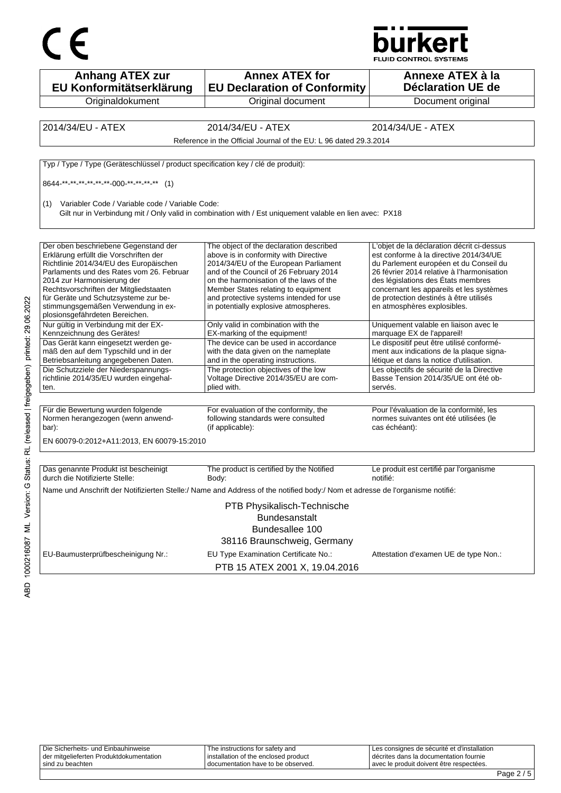



| <b>Anhang ATEX zur</b><br>EU Konformitätserklärung                                 | <b>Annex ATEX for</b><br><b>EU Declaration of Conformity</b>                                                                 | Annexe ATEX à la<br><b>Déclaration UE de</b>                                         |
|------------------------------------------------------------------------------------|------------------------------------------------------------------------------------------------------------------------------|--------------------------------------------------------------------------------------|
| Originaldokument                                                                   | Original document                                                                                                            | Document original                                                                    |
|                                                                                    |                                                                                                                              |                                                                                      |
| 2014/34/EU - ATEX                                                                  | 2014/34/EU - ATEX                                                                                                            | 2014/34/UE - ATEX                                                                    |
|                                                                                    | Reference in the Official Journal of the EU: L 96 dated 29.3.2014                                                            |                                                                                      |
| Typ / Type / Type (Geräteschlüssel / product specification key / clé de produit):  |                                                                                                                              |                                                                                      |
| 8644-**-**-**-**-**-**-000-**-**-**-** (1)                                         |                                                                                                                              |                                                                                      |
| Variabler Code / Variable code / Variable Code:<br>(1)                             |                                                                                                                              |                                                                                      |
|                                                                                    | Gilt nur in Verbindung mit / Only valid in combination with / Est uniquement valable en lien avec: PX18                      |                                                                                      |
|                                                                                    |                                                                                                                              |                                                                                      |
| Der oben beschriebene Gegenstand der                                               | The object of the declaration described                                                                                      | L'objet de la déclaration décrit ci-dessus                                           |
| Erklärung erfüllt die Vorschriften der                                             | above is in conformity with Directive                                                                                        | est conforme à la directive 2014/34/UE                                               |
| Richtlinie 2014/34/EU des Europäischen<br>Parlaments und des Rates vom 26. Februar | 2014/34/EU of the European Parliament<br>and of the Council of 26 February 2014                                              | du Parlement européen et du Conseil du<br>26 février 2014 relative à l'harmonisation |
| 2014 zur Harmonisierung der                                                        | on the harmonisation of the laws of the                                                                                      | des législations des États membres                                                   |
| Rechtsvorschriften der Mitgliedstaaten                                             | Member States relating to equipment                                                                                          | concernant les appareils et les systèmes                                             |
| für Geräte und Schutzsysteme zur be-                                               | and protective systems intended for use                                                                                      | de protection destinés à être utilisés                                               |
| stimmungsgemäßen Verwendung in ex-                                                 | in potentially explosive atmospheres.                                                                                        | en atmosphères explosibles.                                                          |
| plosionsgefährdeten Bereichen.                                                     |                                                                                                                              |                                                                                      |
| Nur gültig in Verbindung mit der EX-<br>Kennzeichnung des Gerätes!                 | Only valid in combination with the<br>EX-marking of the equipment!                                                           | Uniquement valable en liaison avec le<br>marquage EX de l'appareil!                  |
| Das Gerät kann eingesetzt werden ge-                                               | The device can be used in accordance                                                                                         | Le dispositif peut être utilisé conformé-                                            |
| mäß den auf dem Typschild und in der                                               | with the data given on the nameplate                                                                                         | ment aux indications de la plaque signa-                                             |
| Betriebsanleitung angegebenen Daten.                                               | and in the operating instructions.                                                                                           | létique et dans la notice d'utilisation.                                             |
| Die Schutzziele der Niederspannungs-                                               | The protection objectives of the low                                                                                         | Les objectifs de sécurité de la Directive                                            |
| richtlinie 2014/35/EU wurden eingehal-                                             | Voltage Directive 2014/35/EU are com-                                                                                        | Basse Tension 2014/35/UE ont été ob-                                                 |
| ten.                                                                               | plied with.                                                                                                                  | servés.                                                                              |
|                                                                                    |                                                                                                                              |                                                                                      |
| Für die Bewertung wurden folgende                                                  | For evaluation of the conformity, the                                                                                        | Pour l'évaluation de la conformité, les                                              |
| Normen herangezogen (wenn anwend-                                                  | following standards were consulted                                                                                           | normes suivantes ont été utilisées (le                                               |
| bar):                                                                              | (if applicable):                                                                                                             | cas échéant):                                                                        |
| EN 60079-0:2012+A11:2013, EN 60079-15:2010                                         |                                                                                                                              |                                                                                      |
| Das genannte Produkt ist bescheinigt                                               | The product is certified by the Notified                                                                                     | Le produit est certifié par l'organisme                                              |
| durch die Notifizierte Stelle:                                                     | Body:                                                                                                                        | notifié:                                                                             |
|                                                                                    | Name und Anschrift der Notifizierten Stelle:/ Name and Address of the notified body:/ Nom et adresse de l'organisme notifié: |                                                                                      |
|                                                                                    | PTB Physikalisch-Technische                                                                                                  |                                                                                      |
|                                                                                    | Bundesanstalt                                                                                                                |                                                                                      |
|                                                                                    | Bundesallee 100                                                                                                              |                                                                                      |
|                                                                                    | 38116 Braunschweig, Germany                                                                                                  |                                                                                      |
|                                                                                    |                                                                                                                              |                                                                                      |
| EU-Baumusterprüfbescheinigung Nr.:                                                 | EU Type Examination Certificate No.:                                                                                         | Attestation d'examen UE de type Non.:                                                |
|                                                                                    | PTB 15 ATEX 2001 X, 19.04.2016                                                                                               |                                                                                      |

| l sind zu beachten                      | I documentation have to be observed.   | avec le produit doivent être respectées.    |  |
|-----------------------------------------|----------------------------------------|---------------------------------------------|--|
| der mitgelieferten Produktdokumentation | I installation of the enclosed product | décrites dans la documentation fournie      |  |
| Die Sicherheits- und Einbauhinweise     | The instructions for safety and        | Les consignes de sécurité et d'installation |  |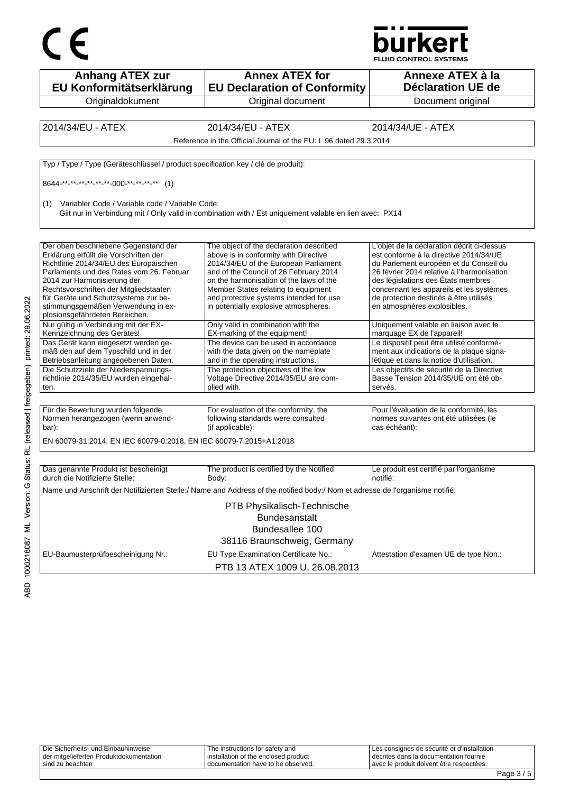



| <b>Anhang ATEX zur</b><br>EU Konformitätserklärung                                                                                                                                                                                                                                                                                                            | <b>Annex ATEX for</b><br><b>EU Declaration of Conformity</b>                                                                                                                                                                                                                                                                              | Annexe ATEX à la<br>Déclaration UE de                                                                                                                                                                                                                                                                                                   |
|---------------------------------------------------------------------------------------------------------------------------------------------------------------------------------------------------------------------------------------------------------------------------------------------------------------------------------------------------------------|-------------------------------------------------------------------------------------------------------------------------------------------------------------------------------------------------------------------------------------------------------------------------------------------------------------------------------------------|-----------------------------------------------------------------------------------------------------------------------------------------------------------------------------------------------------------------------------------------------------------------------------------------------------------------------------------------|
| Originaldokument                                                                                                                                                                                                                                                                                                                                              | Original document                                                                                                                                                                                                                                                                                                                         | Document original                                                                                                                                                                                                                                                                                                                       |
|                                                                                                                                                                                                                                                                                                                                                               |                                                                                                                                                                                                                                                                                                                                           |                                                                                                                                                                                                                                                                                                                                         |
| 2014/34/EU - ATEX                                                                                                                                                                                                                                                                                                                                             | 2014/34/EU - ATEX                                                                                                                                                                                                                                                                                                                         | 2014/34/UE - ATEX                                                                                                                                                                                                                                                                                                                       |
|                                                                                                                                                                                                                                                                                                                                                               | Reference in the Official Journal of the EU: L 96 dated 29.3.2014                                                                                                                                                                                                                                                                         |                                                                                                                                                                                                                                                                                                                                         |
| Typ / Type / Type (Geräteschlüssel / product specification key / clé de produit):                                                                                                                                                                                                                                                                             |                                                                                                                                                                                                                                                                                                                                           |                                                                                                                                                                                                                                                                                                                                         |
| 8644 ** ** ** ** ** ** -000 ** ** ** ** (1)                                                                                                                                                                                                                                                                                                                   |                                                                                                                                                                                                                                                                                                                                           |                                                                                                                                                                                                                                                                                                                                         |
| Variabler Code / Variable code / Variable Code:<br>(1)                                                                                                                                                                                                                                                                                                        | Gilt nur in Verbindung mit / Only valid in combination with / Est uniquement valable en lien avec: PX14                                                                                                                                                                                                                                   |                                                                                                                                                                                                                                                                                                                                         |
| Der oben beschriebene Gegenstand der<br>Erklärung erfüllt die Vorschriften der<br>Richtlinie 2014/34/EU des Europäischen<br>Parlaments und des Rates vom 26. Februar<br>2014 zur Harmonisierung der<br>Rechtsvorschriften der Mitgliedstaaten<br>für Geräte und Schutzsysteme zur be-<br>stimmungsgemäßen Verwendung in ex-<br>plosionsgefährdeten Bereichen. | The object of the declaration described<br>above is in conformity with Directive<br>2014/34/EU of the European Parliament<br>and of the Council of 26 February 2014<br>on the harmonisation of the laws of the<br>Member States relating to equipment<br>and protective systems intended for use<br>in potentially explosive atmospheres. | L'objet de la déclaration décrit ci-dessus<br>est conforme à la directive 2014/34/UE<br>du Parlement européen et du Conseil du<br>26 février 2014 relative à l'harmonisation<br>des législations des États membres<br>concernant les appareils et les systèmes<br>de protection destinés à être utilisés<br>en atmosphères explosibles. |
| Nur gültig in Verbindung mit der EX-<br>Kennzeichnung des Gerätes!                                                                                                                                                                                                                                                                                            | Only valid in combination with the<br>EX-marking of the equipment!                                                                                                                                                                                                                                                                        | Uniquement valable en liaison avec le<br>marquage EX de l'appareil!                                                                                                                                                                                                                                                                     |
| Das Gerät kann eingesetzt werden ge-<br>mäß den auf dem Typschild und in der<br>Betriebsanleitung angegebenen Daten.                                                                                                                                                                                                                                          | The device can be used in accordance<br>with the data given on the nameplate<br>and in the operating instructions.                                                                                                                                                                                                                        | Le dispositif peut être utilisé conformé-<br>ment aux indications de la plaque signa-<br>létique et dans la notice d'utilisation.                                                                                                                                                                                                       |
| Die Schutzziele der Niederspannungs-<br>richtlinie 2014/35/EU wurden eingehal-<br>ten.                                                                                                                                                                                                                                                                        | The protection objectives of the low<br>Voltage Directive 2014/35/EU are com-<br>plied with.                                                                                                                                                                                                                                              | Les objectifs de sécurité de la Directive<br>Basse Tension 2014/35/UE ont été ob-<br>servés.                                                                                                                                                                                                                                            |
| Für die Bewertung wurden folgende<br>Normen herangezogen (wenn anwend-<br>bar):<br>EN 60079-31:2014, EN IEC 60079-0:2018, EN IEC 60079-7:2015+A1:2018                                                                                                                                                                                                         | For evaluation of the conformity, the<br>following standards were consulted<br>(if applicable):                                                                                                                                                                                                                                           | Pour l'évaluation de la conformité, les<br>normes suivantes ont été utilisées (le<br>cas échéant):                                                                                                                                                                                                                                      |
| Das genannte Produkt ist bescheinigt<br>durch die Notifizierte Stelle:                                                                                                                                                                                                                                                                                        | The product is certified by the Notified<br>Body:                                                                                                                                                                                                                                                                                         | Le produit est certifié par l'organisme<br>notifié:                                                                                                                                                                                                                                                                                     |
|                                                                                                                                                                                                                                                                                                                                                               | Name und Anschrift der Notifizierten Stelle:/ Name and Address of the notified body:/ Nom et adresse de l'organisme notifié:                                                                                                                                                                                                              |                                                                                                                                                                                                                                                                                                                                         |
|                                                                                                                                                                                                                                                                                                                                                               | PTB Physikalisch-Technische<br>Bundesanstalt<br>Bundesallee 100<br>38116 Braunschweig, Germany                                                                                                                                                                                                                                            |                                                                                                                                                                                                                                                                                                                                         |
| EU-Baumusterprüfbescheinigung Nr.:                                                                                                                                                                                                                                                                                                                            | EU Type Examination Certificate No.:<br>PTB 13 ATEX 1009 U, 26.08.2013                                                                                                                                                                                                                                                                    | Attestation d'examen UE de type Non.:                                                                                                                                                                                                                                                                                                   |

| sind zu beachten                        | I documentation have to be observed. | avec le produit doivent être respectées.    | $\sim$ $\sim$ |
|-----------------------------------------|--------------------------------------|---------------------------------------------|---------------|
| der mitgelieferten Produktdokumentation | installation of the enclosed product | I décrites dans la documentation fournie    |               |
| Die Sicherheits- und Einbauhinweise     | The instructions for safety and      | Les consignes de sécurité et d'installation |               |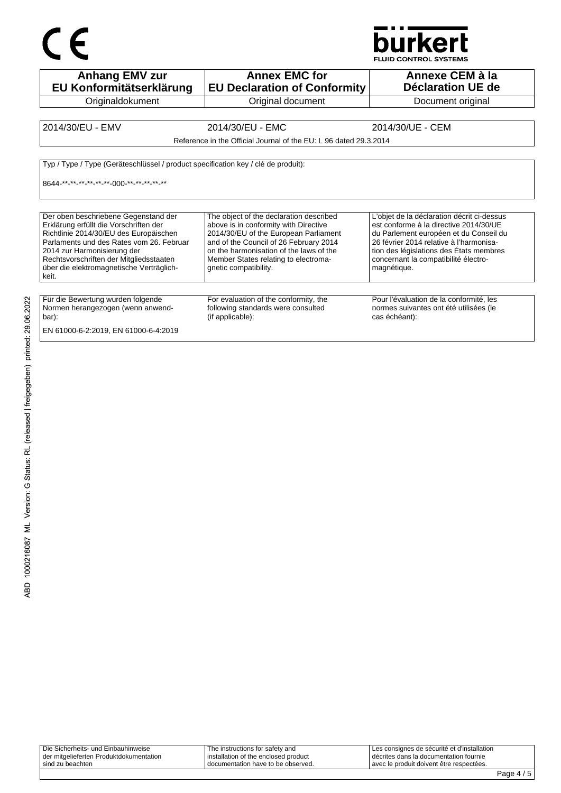# CE



| <b>Anhang EMV zur</b><br>EU Konformitätserklärung                                                                                                                                                                                                                                                   | <b>Annex EMC for</b><br><b>EU Declaration of Conformity</b>                                                                                                                                                                                                                     | Annexe CEM à la<br>Déclaration UE de                                                                                                                                                                                                                                        |
|-----------------------------------------------------------------------------------------------------------------------------------------------------------------------------------------------------------------------------------------------------------------------------------------------------|---------------------------------------------------------------------------------------------------------------------------------------------------------------------------------------------------------------------------------------------------------------------------------|-----------------------------------------------------------------------------------------------------------------------------------------------------------------------------------------------------------------------------------------------------------------------------|
| Originaldokument                                                                                                                                                                                                                                                                                    | Original document                                                                                                                                                                                                                                                               | Document original                                                                                                                                                                                                                                                           |
| 2014/30/EU - EMV                                                                                                                                                                                                                                                                                    | 2014/30/EU - EMC<br>Reference in the Official Journal of the EU: L 96 dated 29.3.2014                                                                                                                                                                                           | 2014/30/UE - CEM                                                                                                                                                                                                                                                            |
| Typ / Type / Type (Geräteschlüssel / product specification key / clé de produit):<br>8644 ** ** ** ** ** ** 000 ** ** ** ** **                                                                                                                                                                      |                                                                                                                                                                                                                                                                                 |                                                                                                                                                                                                                                                                             |
| Der oben beschriebene Gegenstand der<br>Erklärung erfüllt die Vorschriften der<br>Richtlinie 2014/30/EU des Europäischen<br>Parlaments und des Rates vom 26. Februar<br>2014 zur Harmonisierung der<br>Rechtsvorschriften der Mitgliedsstaaten<br>über die elektromagnetische Verträglich-<br>keit. | The object of the declaration described<br>above is in conformity with Directive<br>2014/30/EU of the European Parliament<br>and of the Council of 26 February 2014<br>on the harmonisation of the laws of the<br>Member States relating to electroma-<br>gnetic compatibility. | L'objet de la déclaration décrit ci-dessus<br>est conforme à la directive 2014/30/UE<br>du Parlement européen et du Conseil du<br>26 février 2014 relative à l'harmonisa-<br>tion des législations des États membres<br>concernant la compatibilité électro-<br>magnétique. |
| Für die Bewertung wurden folgende<br>Normen herangezogen (wenn anwend-<br>bar):<br>EN 61000-6-2:2019, EN 61000-6-4:2019                                                                                                                                                                             | For evaluation of the conformity, the<br>following standards were consulted<br>(if applicable):                                                                                                                                                                                 | Pour l'évaluation de la conformité, les<br>normes suivantes ont été utilisées (le<br>cas échéant):                                                                                                                                                                          |